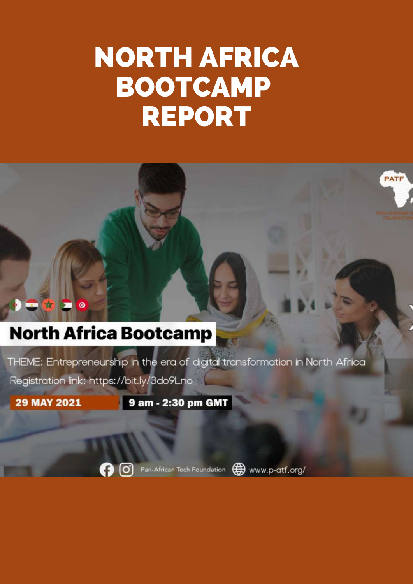# NORTH AFRICA BOOTCAMP REPORT



### **North Africa Bootcamp**

THEME: Entrepreneurship in the era of digital transformation in North Africa

Registration link: https://bit.ly/3do9Lno

 $\ddot{\mathbf{a}}$ 

**29 MAY 2021** 

9 am - 2:30 pm GMT



Pan-African Tech Foundation (D) www.p-atf.org/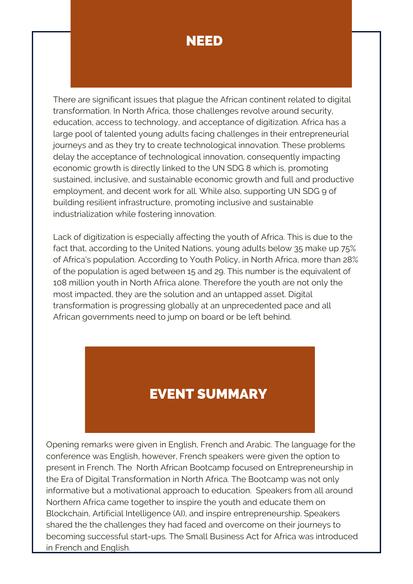### NEED

There are significant issues that plague the African continent related to digital transformation. In North Africa, those challenges revolve around security, education, access to technology, and acceptance of digitization. Africa has a large pool of talented young adults facing challenges in their entrepreneurial journeys and as they try to create technological innovation. These problems delay the acceptance of technological innovation, consequently impacting economic growth is directly linked to the UN SDG 8 which is, promoting sustained, inclusive, and sustainable economic growth and full and productive employment, and decent work for all. While also, supporting UN SDG 9 of building resilient infrastructure, promoting inclusive and sustainable industrialization while fostering innovation.

Lack of digitization is especially affecting the youth of Africa. This is due to the fact that, according to the United Nations, young adults below 35 make up 75% of Africa's population. According to Youth Policy, in North Africa, more than 28% of the population is aged between 15 and 29. This number is the equivalent of 108 million youth in North Africa alone. Therefore the youth are not only the most impacted, they are the solution and an untapped asset. Digital transformation is progressing globally at an unprecedented pace and all African governments need to jump on board or be left behind.

### EVENT SUMMARY

Opening remarks were given in English, French and Arabic. The language for the conference was English, however, French speakers were given the option to present in French. The North African Bootcamp focused on Entrepreneurship in the Era of Digital Transformation in North Africa. The Bootcamp was not only informative but a motivational approach to education. Speakers from all around Northern Africa came together to inspire the youth and educate them on Blockchain, Artificial Intelligence (AI), and inspire entrepreneurship. Speakers shared the the challenges they had faced and overcome on their journeys to becoming successful start-ups. The Small Business Act for Africa was introduced in French and English.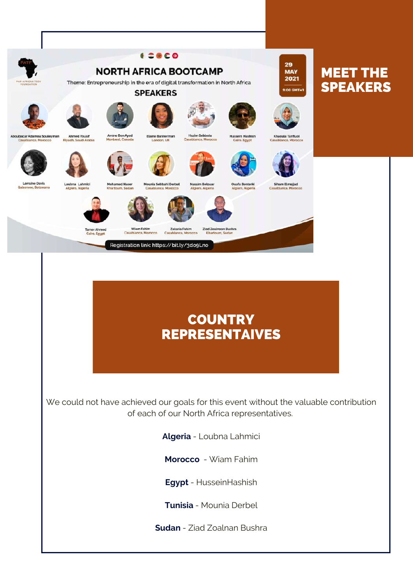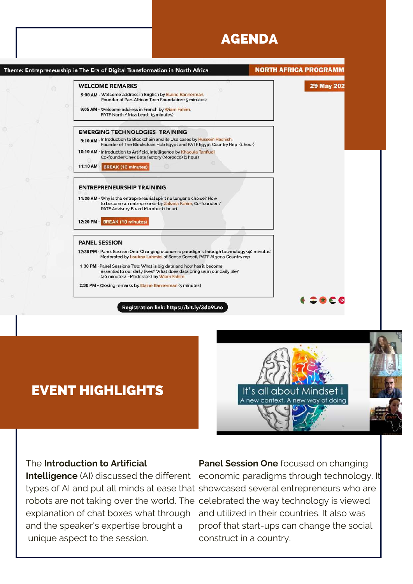### AGENDA



### EVENT HIGHLIGHTS



#### The **Introduction to Artificial**

and the speaker's expertise brought a unique aspect to the session.

**Intelligence** (AI) discussed the different economic paradigms through technology. It types of AI and put all minds at ease that showcased several entrepreneurs who are robots are not taking over the world. The celebrated the way technology is viewed explanation of chat boxes what through and utilized in their countries. It also was **Panel Session One** focused on changing proof that start-ups can change the social construct in a country.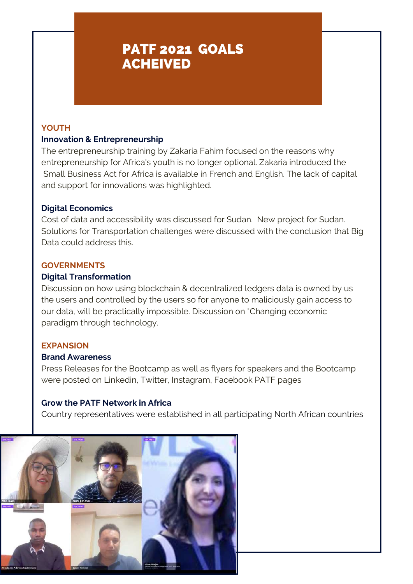### PATF 2021 GOALS ACHEIVED

#### **YOUTH**

#### **Innovation & Entrepreneurship**

The entrepreneurship training by Zakaria Fahim focused on the reasons why entrepreneurship for Africa's youth is no longer optional. Zakaria introduced the Small Business Act for Africa is available in French and English. The lack of capital and support for innovations was highlighted.

#### **Digital Economics**

Cost of data and accessibility was discussed for Sudan. New project for Sudan. Solutions for Transportation challenges were discussed with the conclusion that Big Data could address this.

#### **GOVERNMENTS**

#### **Digital Transformation**

Discussion on how using blockchain & decentralized ledgers data is owned by us the users and controlled by the users so for anyone to maliciously gain access to our data, will be practically impossible. Discussion on "Changing economic paradigm through technology.

#### **EXPANSION**

#### **Brand Awareness**

Press Releases for the Bootcamp as well as flyers for speakers and the Bootcamp were posted on Linkedin, Twitter, Instagram, Facebook PATF pages

#### **Grow the PATF Network in Africa**

Country representatives were established in all participating North African countries

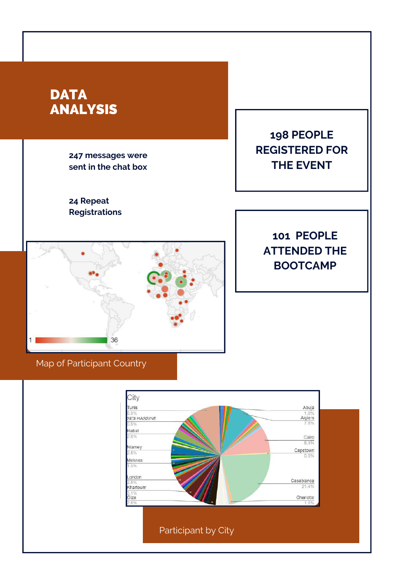

Participant by City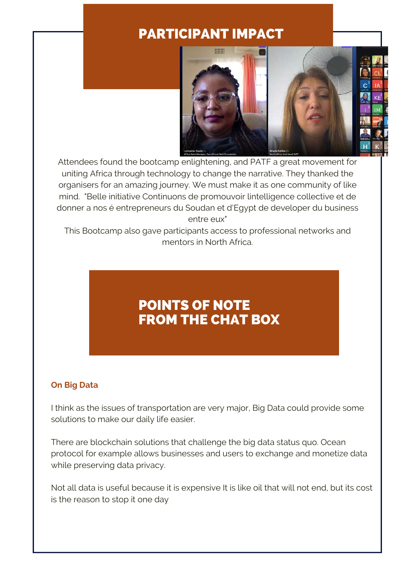### PARTICIPANT IMPACT



Attendees found the bootcamp enlightening, and PATF a great movement for uniting Africa through technology to change the narrative. They thanked the organisers for an amazing journey. We must make it as one community of like mind. "Belle initiative Continuons de promouvoir lintelligence collective et de donner a nos é entrepreneurs du Soudan et d'Egypt de developer du business entre eux"

This Bootcamp also gave participants access to professional networks and mentors in North Africa.

### POINTS OF NOTE FROM THE CHAT BOX

#### **On Big Data**

I think as the issues of transportation are very major, Big Data could provide some solutions to make our daily life easier.

There are blockchain solutions that challenge the big data status quo. Ocean protocol for example allows businesses and users to exchange and monetize data while preserving data privacy.

Not all data is useful because it is expensive It is like oil that will not end, but its cost is the reason to stop it one day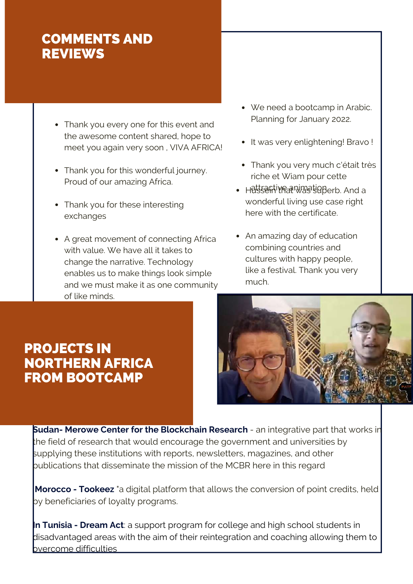### COMMENTS AND **REVIEWS**

- Thank you every one for this event and the awesome content shared, hope to meet you again very soon , VIVA AFRICA!
- Thank you for this wonderful journey. Proud of our amazing Africa.
- Thank you for these interesting exchanges
- A great movement of connecting Africa with value. We have all it takes to change the narrative. Technology enables us to make things look simple and we must make it as one community of like minds.
- We need a bootcamp in Arabic. Planning for January 2022.
- It was very enlightening! Bravo !
- Thank you very much c'était très riche et Wiam pour cette
- Hetsefitivraanivastia Berb. And a wonderful living use case right here with the certificate.
- An amazing day of education combining countries and cultures with happy people, like a festival. Thank you very much.

### PROJECTS IN NORTHERN AFRICA FROM BOOTCAMP



**Sudan- Merowe Center for the Blockchain Research** - an integrative part that works in the field of research that would encourage the government and universities by supplying these institutions with reports, newsletters, magazines, and other publications that disseminate the mission of the MCBR here in this regard

**Morocco - Tookeez** "a digital platform that allows the conversion of point credits, held by beneficiaries of loyalty programs.

**In Tunisia - Dream Act**: a support program for college and high school students in disadvantaged areas with the aim of their reintegration and coaching allowing them to  $b$ vercome difficulties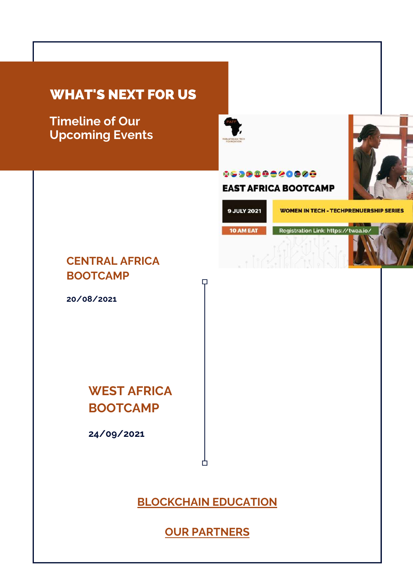### WHAT'S NEXT FOR US

**Timeline of Our Upcoming Events**



#### 069080020800

**EAST AFRICA BOOTCAMP** 

**9 JULY 2021** 

**WOMEN IN TECH - TECHPRENUERSHIP SERIES** 

10 AM EAT Registration Link: https://twaa.io/

### **CENTRAL AFRICA BOOTCAMP**

**20/08/2021**

**WEST AFRICA BOOTCAMP**

**24/09/2021**

**[BLOCKCHAIN](https://www.p-atf.org/copy-of-partners) EDUCATION**

Ĥ

 $\Box$ 

**OUR [PARTNERS](https://www.p-atf.org/partners)**